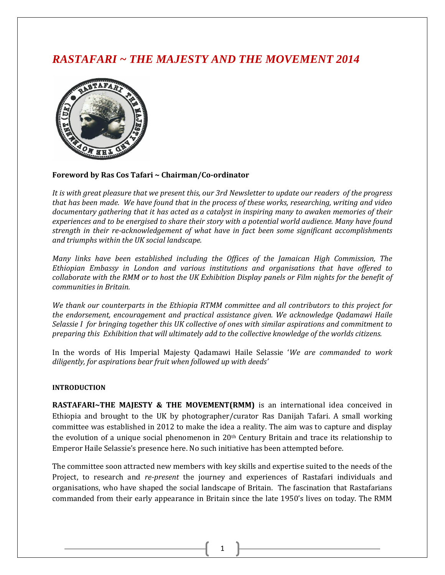# *RASTAFARI ~ THE MAJESTY AND THE MOVEMENT 2014*



# **Foreword by Ras Cos Tafari ~ Chairman/Co-ordinator**

*It is with great pleasure that we present this, our 3rd Newsletter to update our readers of the progress that has been made. We have found that in the process of these works, researching, writing and video documentary gathering that it has acted as a catalyst in inspiring many to awaken memories of their experiences and to be energised to share their story with a potential world audience. Many have found strength in their re-acknowledgement of what have in fact been some significant accomplishments and triumphs within the UK social landscape.* 

*Many links have been established including the Offices of the Jamaican High Commission, The Ethiopian Embassy in London and various institutions and organisations that have offered to collaborate with the RMM or to host the UK Exhibition Display panels or Film nights for the benefit of communities in Britain.* 

*We thank our counterparts in the Ethiopia RTMM committee and all contributors to this project for the endorsement, encouragement and practical assistance given. We acknowledge Qadamawi Haile Selassie I for bringing together this UK collective of ones with similar aspirations and commitment to preparing this Exhibition that will ultimately add to the collective knowledge of the worlds citizens.* 

In the words of His Imperial Majesty Qadamawi Haile Selassie '*We are commanded to work diligently, for aspirations bear fruit when followed up with deeds'*

#### **INTRODUCTION**

**RASTAFARI~THE MAJESTY & THE MOVEMENT(RMM)** is an international idea conceived in Ethiopia and brought to the UK by photographer/curator Ras Danijah Tafari. A small working committee was established in 2012 to make the idea a reality. The aim was to capture and display the evolution of a unique social phenomenon in  $20<sup>th</sup>$  Century Britain and trace its relationship to Emperor Haile Selassie's presence here. No such initiative has been attempted before.

The committee soon attracted new members with key skills and expertise suited to the needs of the Project, to research and *re-present* the journey and experiences of Rastafari individuals and organisations, who have shaped the social landscape of Britain. The fascination that Rastafarians commanded from their early appearance in Britain since the late 1950's lives on today. The RMM

1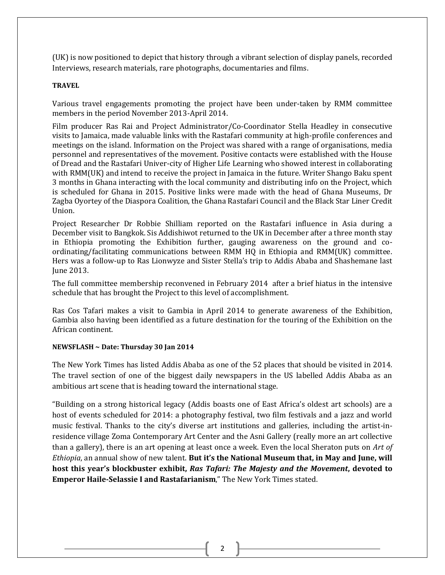(UK) is now positioned to depict that history through a vibrant selection of display panels, recorded Interviews, research materials, rare photographs, documentaries and films.

# **TRAVEL**

Various travel engagements promoting the project have been under-taken by RMM committee members in the period November 2013-April 2014.

Film producer Ras Rai and Project Administrator/Co-Coordinator Stella Headley in consecutive visits to Jamaica, made valuable links with the Rastafari community at high-profile conferences and meetings on the island. Information on the Project was shared with a range of organisations, media personnel and representatives of the movement. Positive contacts were established with the House of Dread and the Rastafari Univer-city of Higher Life Learning who showed interest in collaborating with RMM(UK) and intend to receive the project in Jamaica in the future. Writer Shango Baku spent 3 months in Ghana interacting with the local community and distributing info on the Project, which is scheduled for Ghana in 2015. Positive links were made with the head of Ghana Museums, Dr Zagba Oyortey of the Diaspora Coalition, the Ghana Rastafari Council and the Black Star Liner Credit Union.

Project Researcher Dr Robbie Shilliam reported on the Rastafari influence in Asia during a December visit to Bangkok. Sis Addishiwot returned to the UK in December after a three month stay in Ethiopia promoting the Exhibition further, gauging awareness on the ground and coordinating/facilitating communications between RMM HQ in Ethiopia and RMM(UK) committee. Hers was a follow-up to Ras Lionwyze and Sister Stella's trip to Addis Ababa and Shashemane last June 2013.

The full committee membership reconvened in February 2014 after a brief hiatus in the intensive schedule that has brought the Project to this level of accomplishment.

Ras Cos Tafari makes a visit to Gambia in April 2014 to generate awareness of the Exhibition, Gambia also having been identified as a future destination for the touring of the Exhibition on the African continent.

# **NEWSFLASH ~ Date: Thursday 30 Jan 2014**

The New York Times has listed Addis Ababa as one of the 52 places that should be visited in 2014. The travel section of one of the biggest daily newspapers in the US labelled Addis Ababa as an ambitious art scene that is heading toward the international stage.

"Building on a strong historical legacy (Addis boasts one of East Africa's oldest art schools) are a host of events scheduled for 2014: a photography festival, two film festivals and a jazz and world music festival. Thanks to the city's diverse art institutions and galleries, including the artist-inresidence village Zoma Contemporary Art Center and the Asni Gallery (really more an art collective than a gallery), there is an art opening at least once a week. Even the local Sheraton puts on *Art of Ethiopia*, an annual show of new talent. **But it's the National Museum that, in May and June, will host this year's blockbuster exhibit,** *Ras Tafari: The Majesty and the Movement***, devoted to Emperor Haile-Selassie I and Rastafarianism**," The New York Times stated.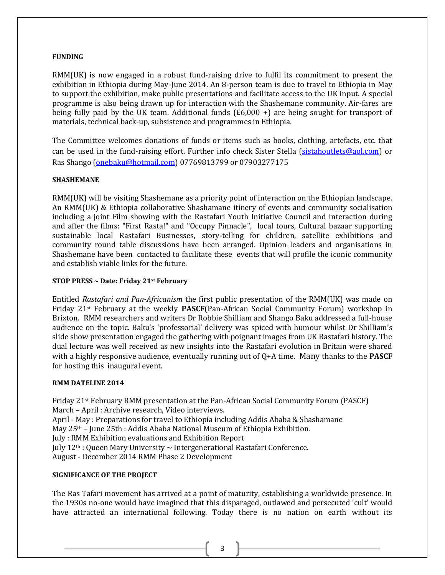#### **FUNDING**

RMM(UK) is now engaged in a robust fund-raising drive to fulfil its commitment to present the exhibition in Ethiopia during May-June 2014. An 8-person team is due to travel to Ethiopia in May to support the exhibition, make public presentations and facilitate access to the UK input. A special programme is also being drawn up for interaction with the Shashemane community. Air-fares are being fully paid by the UK team. Additional funds  $(E6,000 +)$  are being sought for transport of materials, technical back-up, subsistence and programmes in Ethiopia.

The Committee welcomes donations of funds or items such as books, clothing, artefacts, etc. that can be used in the fund-raising effort. Further info check Sister Stella [\(sistahoutlets@aol.com\)](mailto:sistahoutlets@aol.com) or Ras Shango [\(onebaku@hotmail.com\)](mailto:onebaku@hotmail.com) 07769813799 or 07903277175

# **SHASHEMANE**

RMM(UK) will be visiting Shashemane as a priority point of interaction on the Ethiopian landscape. An RMM(UK) & Ethiopia collaborative Shashamane itinery of events and community socialisation including a joint Film showing with the Rastafari Youth Initiative Council and interaction during and after the films: "First Rasta!" and "Occupy Pinnacle", local tours, Cultural bazaar supporting sustainable local Rastafari Businesses, story-telling for children, satellite exhibitions and community round table discussions have been arranged. Opinion leaders and organisations in Shashemane have been contacted to facilitate these events that will profile the iconic community and establish viable links for the future.

# **STOP PRESS ~ Date: Friday 21st February**

Entitled *Rastafari and Pan-Africanism* the first public presentation of the RMM(UK) was made on Friday 21st February at the weekly **PASCF**(Pan-African Social Community Forum) workshop in Brixton. RMM researchers and writers Dr Robbie Shilliam and Shango Baku addressed a full-house audience on the topic. Baku's 'professorial' delivery was spiced with humour whilst Dr Shilliam's slide show presentation engaged the gathering with poignant images from UK Rastafari history. The dual lecture was well received as new insights into the Rastafari evolution in Britain were shared with a highly responsive audience, eventually running out of Q+A time. Many thanks to the **PASCF**  for hosting this inaugural event.

# **RMM DATELINE 2014**

Friday 21st February RMM presentation at the Pan-African Social Community Forum (PASCF) March – April : Archive research, Video interviews. April - May : Preparations for travel to Ethiopia including Addis Ababa & Shashamane May 25th – June 25th : Addis Ababa National Museum of Ethiopia Exhibition. July : RMM Exhibition evaluations and Exhibition Report July 12th : Queen Mary University ~ Intergenerational Rastafari Conference. August - December 2014 RMM Phase 2 Development

# **SIGNIFICANCE OF THE PROJECT**

The Ras Tafari movement has arrived at a point of maturity, establishing a worldwide presence. In the 1930s no-one would have imagined that this disparaged, outlawed and persecuted 'cult' would have attracted an international following. Today there is no nation on earth without its

3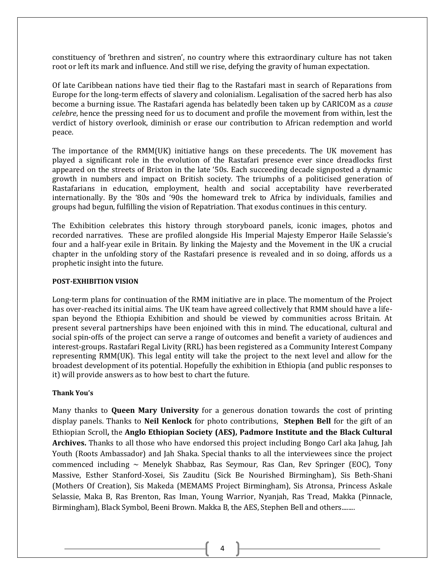constituency of 'brethren and sistren', no country where this extraordinary culture has not taken root or left its mark and influence. And still we rise, defying the gravity of human expectation.

Of late Caribbean nations have tied their flag to the Rastafari mast in search of Reparations from Europe for the long-term effects of slavery and colonialism. Legalisation of the sacred herb has also become a burning issue. The Rastafari agenda has belatedly been taken up by CARICOM as a *cause celebre*, hence the pressing need for us to document and profile the movement from within, lest the verdict of history overlook, diminish or erase our contribution to African redemption and world peace.

The importance of the RMM(UK) initiative hangs on these precedents. The UK movement has played a significant role in the evolution of the Rastafari presence ever since dreadlocks first appeared on the streets of Brixton in the late '50s. Each succeeding decade signposted a dynamic growth in numbers and impact on British society. The triumphs of a politicised generation of Rastafarians in education, employment, health and social acceptability have reverberated internationally. By the '80s and '90s the homeward trek to Africa by individuals, families and groups had begun, fulfilling the vision of Repatriation. That exodus continues in this century.

The Exhibition celebrates this history through storyboard panels, iconic images, photos and recorded narratives. These are profiled alongside His Imperial Majesty Emperor Haile Selassie's four and a half-year exile in Britain. By linking the Majesty and the Movement in the UK a crucial chapter in the unfolding story of the Rastafari presence is revealed and in so doing, affords us a prophetic insight into the future.

#### **POST-EXHIBITION VISION**

Long-term plans for continuation of the RMM initiative are in place. The momentum of the Project has over-reached its initial aims. The UK team have agreed collectively that RMM should have a lifespan beyond the Ethiopia Exhibition and should be viewed by communities across Britain. At present several partnerships have been enjoined with this in mind. The educational, cultural and social spin-offs of the project can serve a range of outcomes and benefit a variety of audiences and interest-groups. Rastafari Regal Livity (RRL) has been registered as a Community Interest Company representing RMM(UK). This legal entity will take the project to the next level and allow for the broadest development of its potential. Hopefully the exhibition in Ethiopia (and public responses to it) will provide answers as to how best to chart the future.

#### **Thank You's**

Many thanks to **Queen Mary University** for a generous donation towards the cost of printing display panels. Thanks to **Neil Kenlock** for photo contributions, **Stephen Bell** for the gift of an Ethiopian Scroll**,** the **Anglo Ethiopian Society (AES), Padmore Institute and the Black Cultural Archives.** Thanks to all those who have endorsed this project including Bongo Carl aka Jahug, Jah Youth (Roots Ambassador) and Jah Shaka. Special thanks to all the interviewees since the project commenced including  $\sim$  Menelyk Shabbaz, Ras Seymour, Ras Clan, Rev Springer (EOC), Tony Massive, Esther Stanford-Xosei, Sis Zauditu (Sick Be Nourished Birmingham), Sis Beth-Shani (Mothers Of Creation), Sis Makeda (MEMAMS Project Birmingham), Sis Atronsa, Princess Askale Selassie, Maka B, Ras Brenton, Ras Iman, Young Warrior, Nyanjah, Ras Tread, Makka (Pinnacle, Birmingham), Black Symbol, Beeni Brown. Makka B, the AES, Stephen Bell and others........